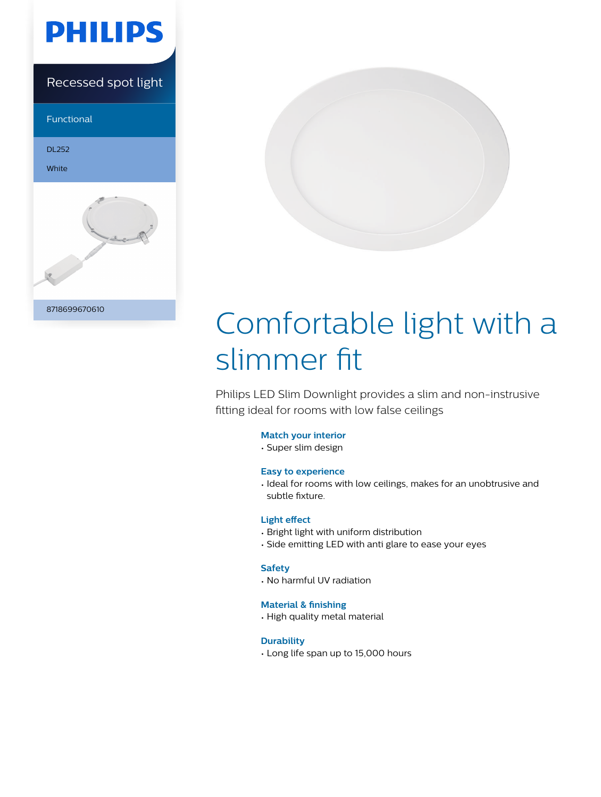

Recessed spot light

Functional

DL252

White





# Comfortable light with a slimmer fit

Philips LED Slim Downlight provides a slim and non-instrusive fitting ideal for rooms with low false ceilings

# **Match your interior**

• Super slim design

# **Easy to experience**

• Ideal for rooms with low ceilings, makes for an unobtrusive and subtle fixture.

# **Light effect**

- Bright light with uniform distribution
- Side emitting LED with anti glare to ease your eyes

# **Safety**

• No harmful UV radiation

# **Material & finishing**

• High quality metal material

# **Durability**

• Long life span up to 15,000 hours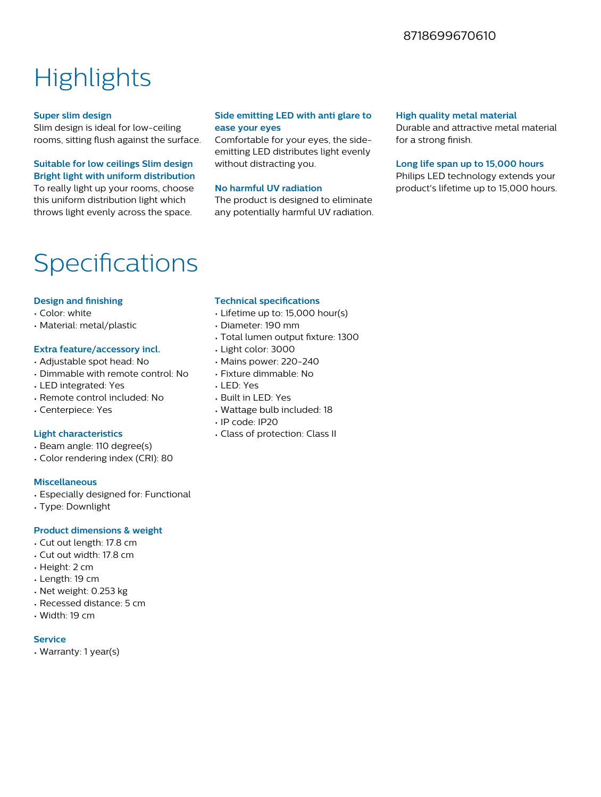# 8718699670610

# **Highlights**

#### **Super slim design**

Slim design is ideal for low-ceiling rooms, sitting flush against the surface.

# **Suitable for low ceilings Slim design Bright light with uniform distribution**

To really light up your rooms, choose this uniform distribution light which throws light evenly across the space.

# **Side emitting LED with anti glare to ease your eyes**

Comfortable for your eyes, the sideemitting LED distributes light evenly without distracting you.

#### **No harmful UV radiation**

The product is designed to eliminate any potentially harmful UV radiation.

#### **High quality metal material**

Durable and attractive metal material for a strong finish.

#### **Long life span up to 15,000 hours**

Philips LED technology extends your product's lifetime up to 15,000 hours.

# Specifications

# **Design and finishing**

- Color: white
- Material: metal/plastic

#### **Extra feature/accessory incl.**

- Adjustable spot head: No
- Dimmable with remote control: No
- LED integrated: Yes
- Remote control included: No
- Centerpiece: Yes

#### **Light characteristics**

- Beam angle: 110 degree(s)
- Color rendering index (CRI): 80

#### **Miscellaneous**

- Especially designed for: Functional
- Type: Downlight

# **Product dimensions & weight**

- Cut out length: 17.8 cm
- Cut out width: 17.8 cm
- Height: 2 cm
- Length: 19 cm
- Net weight: 0.253 kg
- Recessed distance: 5 cm
- Width: 19 cm

#### **Service**

• Warranty: 1 year(s)

#### **Technical specifications**

- Lifetime up to: 15,000 hour(s)
- Diameter: 190 mm
- Total lumen output fixture: 1300
- Light color: 3000
- Mains power: 220-240
- Fixture dimmable: No
- LED: Yes
- Built in LED: Yes
- Wattage bulb included: 18
- IP code: IP20
- Class of protection: Class II